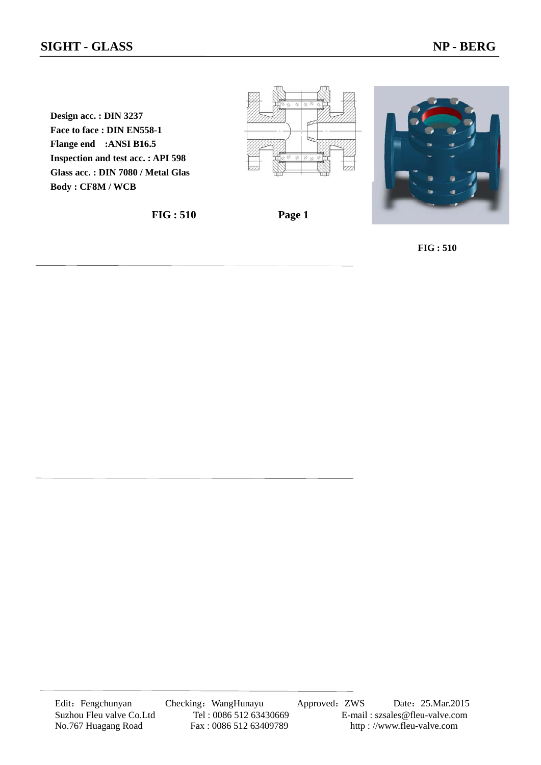**Design acc. : DIN 3237 Face to face : DIN EN558-1 Flange end :ANSI B16.5 Inspection and test acc. : API 598 Glass acc. : DIN 7080 / Metal Glas Body : CF8M / WCB**









**FIG : 510**